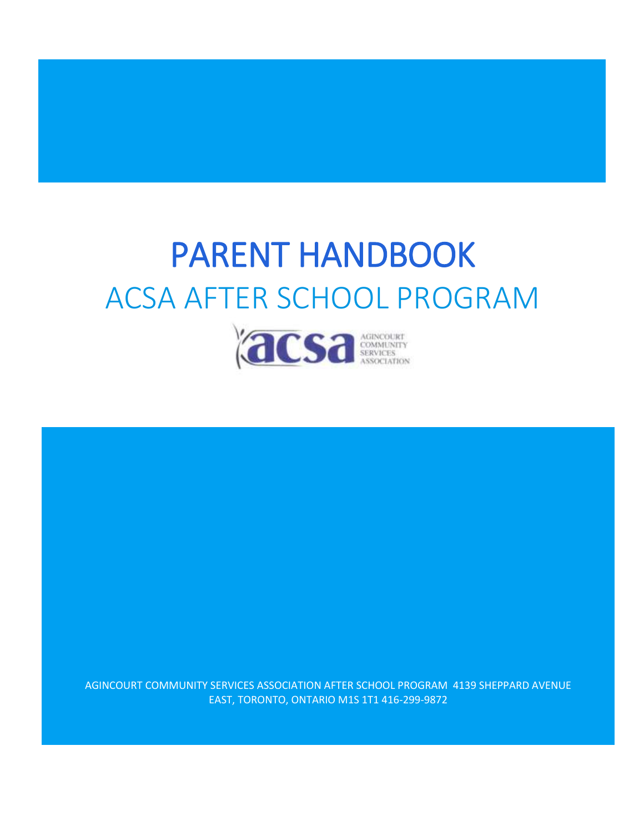# PARENT HANDBOOK ACSA AFTER SCHOOL PROGRAM



AGINCOURT COMMUNITY SERVICES ASSOCIATION AFTER SCHOOL PROGRAM 4139 SHEPPARD AVENUE EAST, TORONTO, ONTARIO M1S 1T1 416-299-9872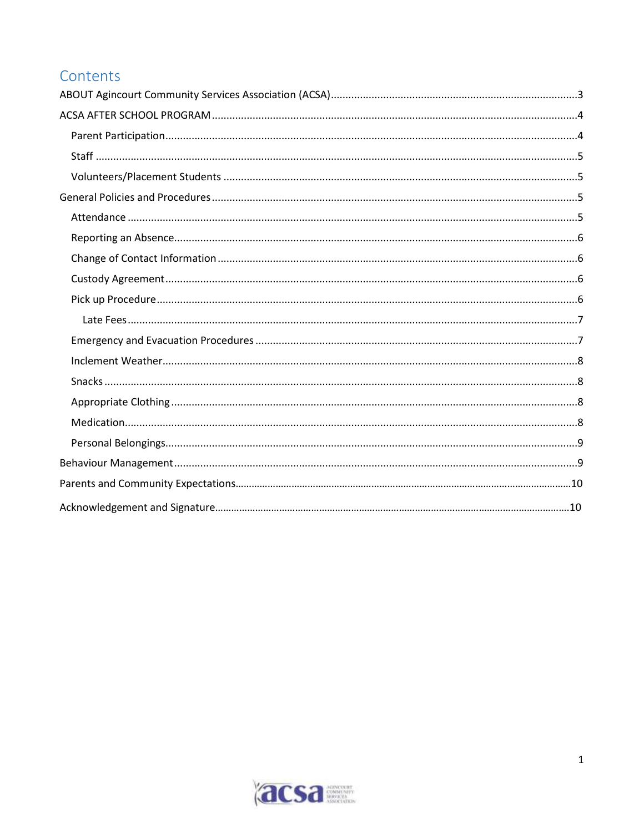# Contents

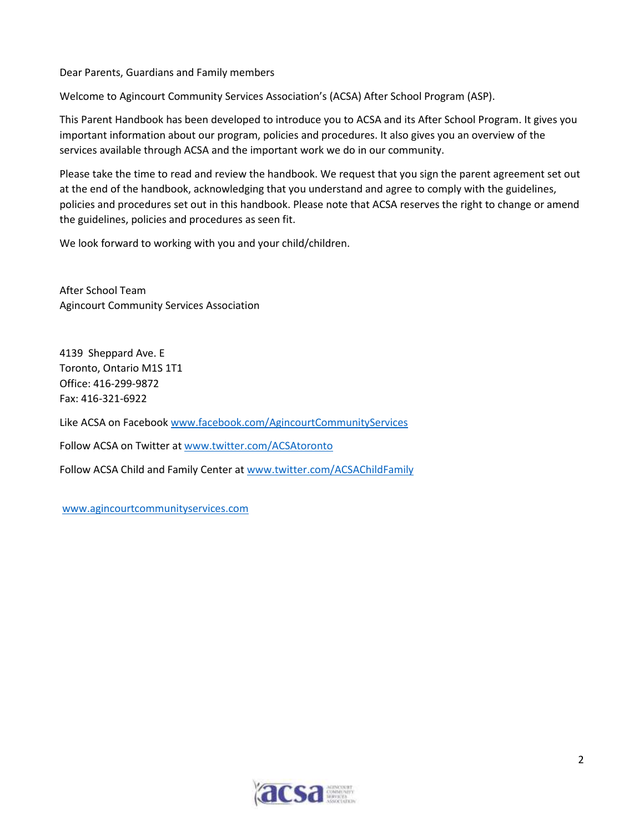Dear Parents, Guardians and Family members

Welcome to Agincourt Community Services Association's (ACSA) After School Program (ASP).

This Parent Handbook has been developed to introduce you to ACSA and its After School Program. It gives you important information about our program, policies and procedures. It also gives you an overview of the services available through ACSA and the important work we do in our community.

Please take the time to read and review the handbook. We request that you sign the parent agreement set out at the end of the handbook, acknowledging that you understand and agree to comply with the guidelines, policies and procedures set out in this handbook. Please note that ACSA reserves the right to change or amend the guidelines, policies and procedures as seen fit.

We look forward to working with you and your child/children.

After School Team Agincourt Community Services Association

4139 Sheppard Ave. E Toronto, Ontario M1S 1T1 Office: 416-299-9872 Fax: 416-321-6922

Like ACSA on Facebook [www.facebook.com/AgincourtCommunityServices](https://agincourt.dnsalias.com/owa/redir.aspx?SURL=FPBz8SEAUGMy-hoZfkZ0pPaMtTMVmpCLKUM69oxMlyPdN4xdbzTSCGgAdAB0AHAAOgAvAC8AdwB3AHcALgBmAGEAYwBlAGIAbwBvAGsALgBjAG8AbQAvAEEAZwBpAG4AYwBvAHUAcgB0AEMAbwBtAG0AdQBuAGkAdAB5AFMAZQByAHYAaQBjAGUAcwA.&URL=http%3a%2f%2fwww.facebook.com%2fAgincourtCommunityServices)

Follow ACSA on Twitter at [www.twitter.com/ACSAtoronto](https://agincourt.dnsalias.com/owa/redir.aspx?SURL=XiSDNkQAAm7sSqywBwcvJ7YGtCF9_xna5DokxL1OW23dN4xdbzTSCGgAdAB0AHAAOgAvAC8AdwB3AHcALgB0AHcAaQB0AHQAZQByAC4AYwBvAG0ALwBBAEMAUwBBAHQAbwByAG8AbgB0AG8A&URL=http%3a%2f%2fwww.twitter.com%2fACSAtoronto)

Follow ACSA Child and Family Center at [www.twitter.com/ACSAChildFamily](https://agincourt.dnsalias.com/owa/redir.aspx?SURL=hUGzWqTEc5R3UfmaOU0xgNGWfwD9Sl55_lpjBs4YyovdN4xdbzTSCGgAdAB0AHAAOgAvAC8AdwB3AHcALgB0AHcAaQB0AHQAZQByAC4AYwBvAG0ALwBBAEMAUwBBAEMAaABpAGwAZABGAGEAbQBpAGwAeQA.&URL=http%3a%2f%2fwww.twitter.com%2fACSAChildFamily)

[www.agincourtcommunityservices.com](http://www.agincourtcommunityservices.com/)

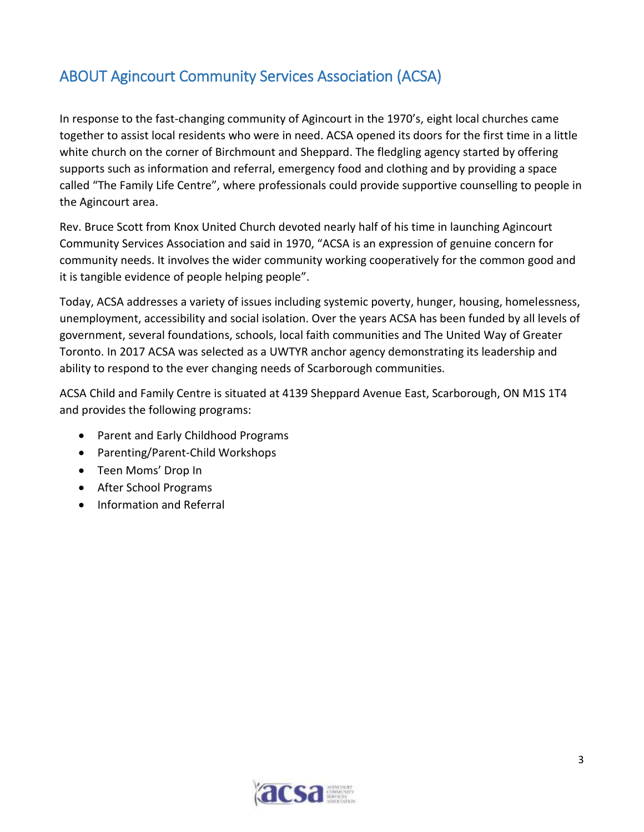# <span id="page-3-0"></span>ABOUT Agincourt Community Services Association (ACSA)

In response to the fast-changing community of Agincourt in the 1970's, eight local churches came together to assist local residents who were in need. ACSA opened its doors for the first time in a little white church on the corner of Birchmount and Sheppard. The fledgling agency started by offering supports such as information and referral, emergency food and clothing and by providing a space called "The Family Life Centre", where professionals could provide supportive counselling to people in the Agincourt area.

Rev. Bruce Scott from Knox United Church devoted nearly half of his time in launching Agincourt Community Services Association and said in 1970, "ACSA is an expression of genuine concern for community needs. It involves the wider community working cooperatively for the common good and it is tangible evidence of people helping people".

Today, ACSA addresses a variety of issues including systemic poverty, hunger, housing, homelessness, unemployment, accessibility and social isolation. Over the years ACSA has been funded by all levels of government, several foundations, schools, local faith communities and The United Way of Greater Toronto. In 2017 ACSA was selected as a UWTYR anchor agency demonstrating its leadership and ability to respond to the ever changing needs of Scarborough communities.

ACSA Child and Family Centre is situated at 4139 Sheppard Avenue East, Scarborough, ON M1S 1T4 and provides the following programs:

- Parent and Early Childhood Programs
- Parenting/Parent-Child Workshops
- Teen Moms' Drop In
- After School Programs
- Information and Referral

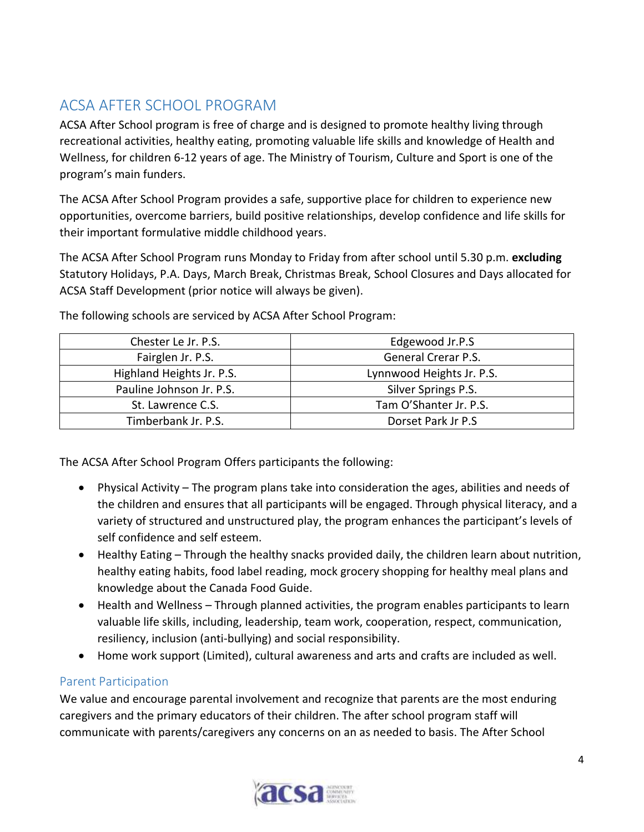# <span id="page-4-0"></span>ACSA AFTER SCHOOL PROGRAM

ACSA After School program is free of charge and is designed to promote healthy living through recreational activities, healthy eating, promoting valuable life skills and knowledge of Health and Wellness, for children 6-12 years of age. The Ministry of Tourism, Culture and Sport is one of the program's main funders.

The ACSA After School Program provides a safe, supportive place for children to experience new opportunities, overcome barriers, build positive relationships, develop confidence and life skills for their important formulative middle childhood years.

The ACSA After School Program runs Monday to Friday from after school until 5.30 p.m. **excluding** Statutory Holidays, P.A. Days, March Break, Christmas Break, School Closures and Days allocated for ACSA Staff Development (prior notice will always be given).

| Chester Le Jr. P.S.       | Edgewood Jr.P.S            |
|---------------------------|----------------------------|
| Fairglen Jr. P.S.         | <b>General Crerar P.S.</b> |
| Highland Heights Jr. P.S. | Lynnwood Heights Jr. P.S.  |
| Pauline Johnson Jr. P.S.  | Silver Springs P.S.        |
| St. Lawrence C.S.         | Tam O'Shanter Jr. P.S.     |
| Timberbank Jr. P.S.       | Dorset Park Jr P.S         |

The following schools are serviced by ACSA After School Program:

The ACSA After School Program Offers participants the following:

- Physical Activity The program plans take into consideration the ages, abilities and needs of the children and ensures that all participants will be engaged. Through physical literacy, and a variety of structured and unstructured play, the program enhances the participant's levels of self confidence and self esteem.
- Healthy Eating Through the healthy snacks provided daily, the children learn about nutrition, healthy eating habits, food label reading, mock grocery shopping for healthy meal plans and knowledge about the Canada Food Guide.
- Health and Wellness Through planned activities, the program enables participants to learn valuable life skills, including, leadership, team work, cooperation, respect, communication, resiliency, inclusion (anti-bullying) and social responsibility.
- Home work support (Limited), cultural awareness and arts and crafts are included as well.

# <span id="page-4-1"></span>Parent Participation

We value and encourage parental involvement and recognize that parents are the most enduring caregivers and the primary educators of their children. The after school program staff will communicate with parents/caregivers any concerns on an as needed to basis. The After School

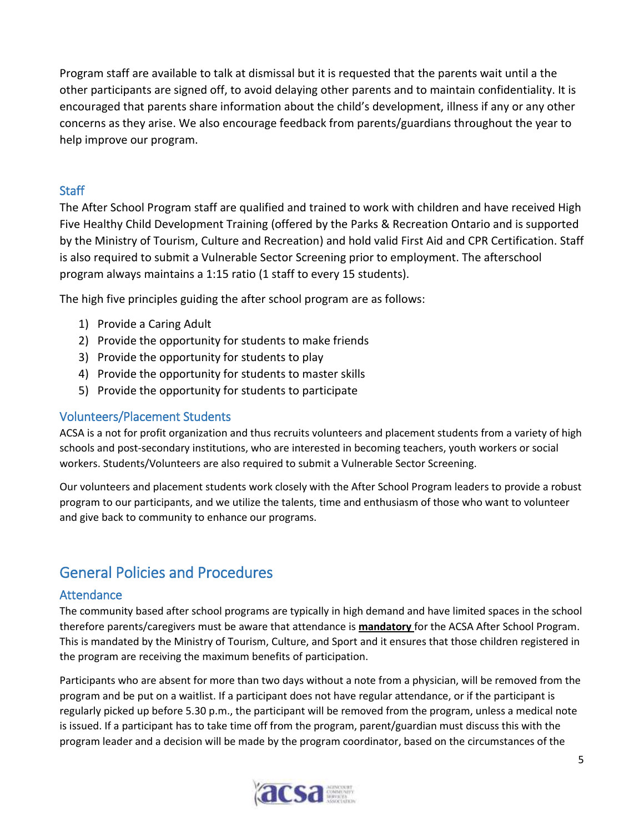Program staff are available to talk at dismissal but it is requested that the parents wait until a the other participants are signed off, to avoid delaying other parents and to maintain confidentiality. It is encouraged that parents share information about the child's development, illness if any or any other concerns as they arise. We also encourage feedback from parents/guardians throughout the year to help improve our program.

## <span id="page-5-0"></span>**Staff**

The After School Program staff are qualified and trained to work with children and have received High Five Healthy Child Development Training (offered by the Parks & Recreation Ontario and is supported by the Ministry of Tourism, Culture and Recreation) and hold valid First Aid and CPR Certification. Staff is also required to submit a Vulnerable Sector Screening prior to employment. The afterschool program always maintains a 1:15 ratio (1 staff to every 15 students).

The high five principles guiding the after school program are as follows:

- 1) Provide a Caring Adult
- 2) Provide the opportunity for students to make friends
- 3) Provide the opportunity for students to play
- 4) Provide the opportunity for students to master skills
- 5) Provide the opportunity for students to participate

### <span id="page-5-1"></span>Volunteers/Placement Students

ACSA is a not for profit organization and thus recruits volunteers and placement students from a variety of high schools and post-secondary institutions, who are interested in becoming teachers, youth workers or social workers. Students/Volunteers are also required to submit a Vulnerable Sector Screening.

Our volunteers and placement students work closely with the After School Program leaders to provide a robust program to our participants, and we utilize the talents, time and enthusiasm of those who want to volunteer and give back to community to enhance our programs.

# <span id="page-5-2"></span>General Policies and Procedures

#### <span id="page-5-3"></span>**Attendance**

The community based after school programs are typically in high demand and have limited spaces in the school therefore parents/caregivers must be aware that attendance is **mandatory** for the ACSA After School Program. This is mandated by the Ministry of Tourism, Culture, and Sport and it ensures that those children registered in the program are receiving the maximum benefits of participation.

Participants who are absent for more than two days without a note from a physician, will be removed from the program and be put on a waitlist. If a participant does not have regular attendance, or if the participant is regularly picked up before 5.30 p.m., the participant will be removed from the program, unless a medical note is issued. If a participant has to take time off from the program, parent/guardian must discuss this with the program leader and a decision will be made by the program coordinator, based on the circumstances of the

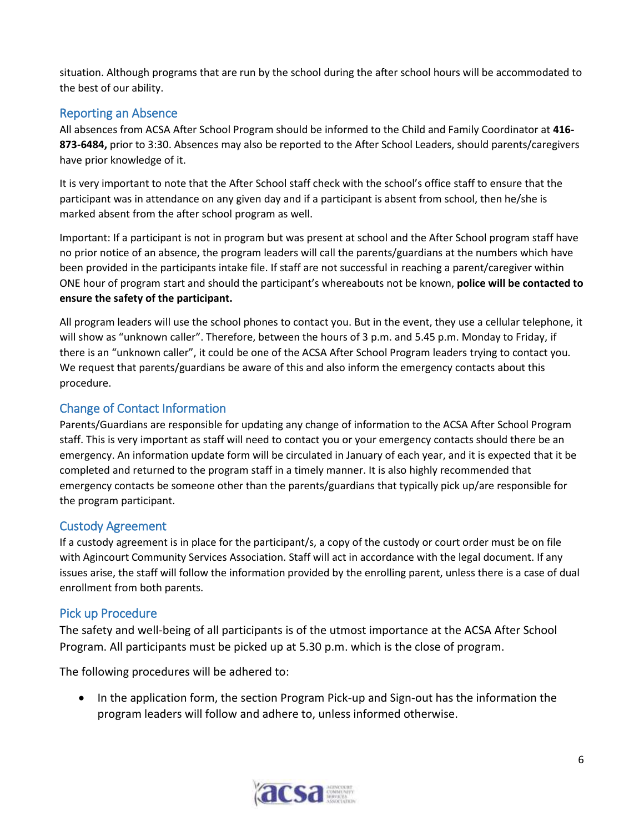situation. Although programs that are run by the school during the after school hours will be accommodated to the best of our ability.

## <span id="page-6-0"></span>Reporting an Absence

All absences from ACSA After School Program should be informed to the Child and Family Coordinator at **416- 873-6484,** prior to 3:30. Absences may also be reported to the After School Leaders, should parents/caregivers have prior knowledge of it.

It is very important to note that the After School staff check with the school's office staff to ensure that the participant was in attendance on any given day and if a participant is absent from school, then he/she is marked absent from the after school program as well.

Important: If a participant is not in program but was present at school and the After School program staff have no prior notice of an absence, the program leaders will call the parents/guardians at the numbers which have been provided in the participants intake file. If staff are not successful in reaching a parent/caregiver within ONE hour of program start and should the participant's whereabouts not be known, **police will be contacted to ensure the safety of the participant.**

All program leaders will use the school phones to contact you. But in the event, they use a cellular telephone, it will show as "unknown caller". Therefore, between the hours of 3 p.m. and 5.45 p.m. Monday to Friday, if there is an "unknown caller", it could be one of the ACSA After School Program leaders trying to contact you. We request that parents/guardians be aware of this and also inform the emergency contacts about this procedure.

## <span id="page-6-1"></span>Change of Contact Information

Parents/Guardians are responsible for updating any change of information to the ACSA After School Program staff. This is very important as staff will need to contact you or your emergency contacts should there be an emergency. An information update form will be circulated in January of each year, and it is expected that it be completed and returned to the program staff in a timely manner. It is also highly recommended that emergency contacts be someone other than the parents/guardians that typically pick up/are responsible for the program participant.

#### <span id="page-6-2"></span>Custody Agreement

If a custody agreement is in place for the participant/s, a copy of the custody or court order must be on file with Agincourt Community Services Association. Staff will act in accordance with the legal document. If any issues arise, the staff will follow the information provided by the enrolling parent, unless there is a case of dual enrollment from both parents.

#### <span id="page-6-3"></span>Pick up Procedure

The safety and well-being of all participants is of the utmost importance at the ACSA After School Program. All participants must be picked up at 5.30 p.m. which is the close of program.

The following procedures will be adhered to:

• In the application form, the section Program Pick-up and Sign-out has the information the program leaders will follow and adhere to, unless informed otherwise.

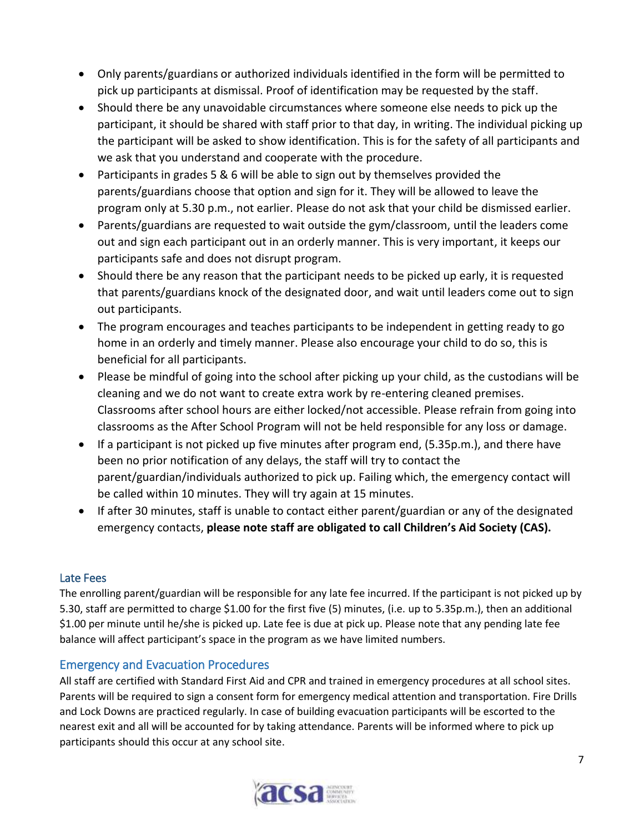- Only parents/guardians or authorized individuals identified in the form will be permitted to pick up participants at dismissal. Proof of identification may be requested by the staff.
- Should there be any unavoidable circumstances where someone else needs to pick up the participant, it should be shared with staff prior to that day, in writing. The individual picking up the participant will be asked to show identification. This is for the safety of all participants and we ask that you understand and cooperate with the procedure.
- Participants in grades 5 & 6 will be able to sign out by themselves provided the parents/guardians choose that option and sign for it. They will be allowed to leave the program only at 5.30 p.m., not earlier. Please do not ask that your child be dismissed earlier.
- Parents/guardians are requested to wait outside the gym/classroom, until the leaders come out and sign each participant out in an orderly manner. This is very important, it keeps our participants safe and does not disrupt program.
- Should there be any reason that the participant needs to be picked up early, it is requested that parents/guardians knock of the designated door, and wait until leaders come out to sign out participants.
- The program encourages and teaches participants to be independent in getting ready to go home in an orderly and timely manner. Please also encourage your child to do so, this is beneficial for all participants.
- Please be mindful of going into the school after picking up your child, as the custodians will be cleaning and we do not want to create extra work by re-entering cleaned premises. Classrooms after school hours are either locked/not accessible. Please refrain from going into classrooms as the After School Program will not be held responsible for any loss or damage.
- If a participant is not picked up five minutes after program end, (5.35p.m.), and there have been no prior notification of any delays, the staff will try to contact the parent/guardian/individuals authorized to pick up. Failing which, the emergency contact will be called within 10 minutes. They will try again at 15 minutes.
- If after 30 minutes, staff is unable to contact either parent/guardian or any of the designated emergency contacts, **please note staff are obligated to call Children's Aid Society (CAS).**

#### <span id="page-7-0"></span>Late Fees

The enrolling parent/guardian will be responsible for any late fee incurred. If the participant is not picked up by 5.30, staff are permitted to charge \$1.00 for the first five (5) minutes, (i.e. up to 5.35p.m.), then an additional \$1.00 per minute until he/she is picked up. Late fee is due at pick up. Please note that any pending late fee balance will affect participant's space in the program as we have limited numbers.

#### <span id="page-7-1"></span>Emergency and Evacuation Procedures

All staff are certified with Standard First Aid and CPR and trained in emergency procedures at all school sites. Parents will be required to sign a consent form for emergency medical attention and transportation. Fire Drills and Lock Downs are practiced regularly. In case of building evacuation participants will be escorted to the nearest exit and all will be accounted for by taking attendance. Parents will be informed where to pick up participants should this occur at any school site.

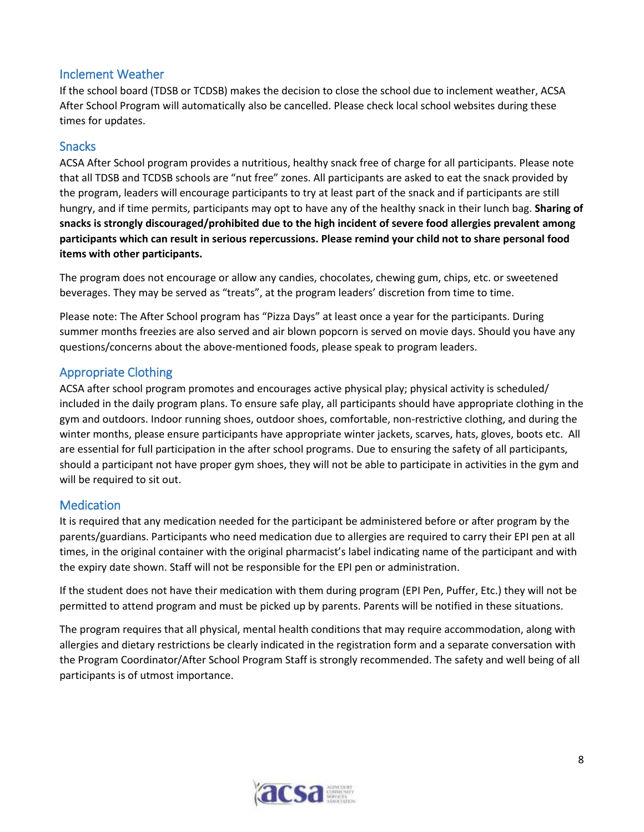#### <span id="page-8-0"></span>Inclement Weather

If the school board (TDSB or TCDSB) makes the decision to close the school due to inclement weather, ACSA After School Program will automatically also be cancelled. Please check local school websites during these times for updates.

#### <span id="page-8-1"></span>Snacks

ACSA After School program provides a nutritious, healthy snack free of charge for all participants. Please note that all TDSB and TCDSB schools are "nut free" zones. All participants are asked to eat the snack provided by the program, leaders will encourage participants to try at least part of the snack and if participants are still hungry, and if time permits, participants may opt to have any of the healthy snack in their lunch bag. **Sharing of snacks is strongly discouraged/prohibited due to the high incident of severe food allergies prevalent among participants which can result in serious repercussions. Please remind your child not to share personal food items with other participants.** 

The program does not encourage or allow any candies, chocolates, chewing gum, chips, etc. or sweetened beverages. They may be served as "treats", at the program leaders' discretion from time to time.

Please note: The After School program has "Pizza Days" at least once a year for the participants. During summer months freezies are also served and air blown popcorn is served on movie days. Should you have any questions/concerns about the above-mentioned foods, please speak to program leaders.

## <span id="page-8-2"></span>Appropriate Clothing

ACSA after school program promotes and encourages active physical play; physical activity is scheduled/ included in the daily program plans. To ensure safe play, all participants should have appropriate clothing in the gym and outdoors. Indoor running shoes, outdoor shoes, comfortable, non-restrictive clothing, and during the winter months, please ensure participants have appropriate winter jackets, scarves, hats, gloves, boots etc. All are essential for full participation in the after school programs. Due to ensuring the safety of all participants, should a participant not have proper gym shoes, they will not be able to participate in activities in the gym and will be required to sit out.

#### <span id="page-8-3"></span>Medication

It is required that any medication needed for the participant be administered before or after program by the parents/guardians. Participants who need medication due to allergies are required to carry their EPI pen at all times, in the original container with the original pharmacist's label indicating name of the participant and with the expiry date shown. Staff will not be responsible for the EPI pen or administration.

If the student does not have their medication with them during program (EPI Pen, Puffer, Etc.) they will not be permitted to attend program and must be picked up by parents. Parents will be notified in these situations.

The program requires that all physical, mental health conditions that may require accommodation, along with allergies and dietary restrictions be clearly indicated in the registration form and a separate conversation with the Program Coordinator/After School Program Staff is strongly recommended. The safety and well being of all participants is of utmost importance.

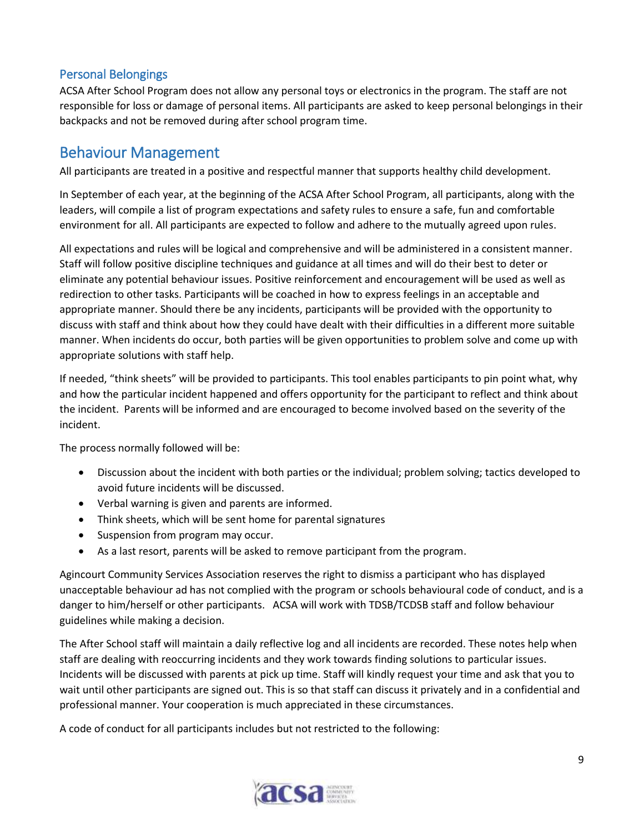#### <span id="page-9-0"></span>Personal Belongings

ACSA After School Program does not allow any personal toys or electronics in the program. The staff are not responsible for loss or damage of personal items. All participants are asked to keep personal belongings in their backpacks and not be removed during after school program time.

# <span id="page-9-1"></span>Behaviour Management

All participants are treated in a positive and respectful manner that supports healthy child development.

In September of each year, at the beginning of the ACSA After School Program, all participants, along with the leaders, will compile a list of program expectations and safety rules to ensure a safe, fun and comfortable environment for all. All participants are expected to follow and adhere to the mutually agreed upon rules.

All expectations and rules will be logical and comprehensive and will be administered in a consistent manner. Staff will follow positive discipline techniques and guidance at all times and will do their best to deter or eliminate any potential behaviour issues. Positive reinforcement and encouragement will be used as well as redirection to other tasks. Participants will be coached in how to express feelings in an acceptable and appropriate manner. Should there be any incidents, participants will be provided with the opportunity to discuss with staff and think about how they could have dealt with their difficulties in a different more suitable manner. When incidents do occur, both parties will be given opportunities to problem solve and come up with appropriate solutions with staff help.

If needed, "think sheets" will be provided to participants. This tool enables participants to pin point what, why and how the particular incident happened and offers opportunity for the participant to reflect and think about the incident. Parents will be informed and are encouraged to become involved based on the severity of the incident.

The process normally followed will be:

- Discussion about the incident with both parties or the individual; problem solving; tactics developed to avoid future incidents will be discussed.
- Verbal warning is given and parents are informed.
- Think sheets, which will be sent home for parental signatures
- Suspension from program may occur.
- As a last resort, parents will be asked to remove participant from the program.

Agincourt Community Services Association reserves the right to dismiss a participant who has displayed unacceptable behaviour ad has not complied with the program or schools behavioural code of conduct, and is a danger to him/herself or other participants. ACSA will work with TDSB/TCDSB staff and follow behaviour guidelines while making a decision.

The After School staff will maintain a daily reflective log and all incidents are recorded. These notes help when staff are dealing with reoccurring incidents and they work towards finding solutions to particular issues. Incidents will be discussed with parents at pick up time. Staff will kindly request your time and ask that you to wait until other participants are signed out. This is so that staff can discuss it privately and in a confidential and professional manner. Your cooperation is much appreciated in these circumstances.

A code of conduct for all participants includes but not restricted to the following: